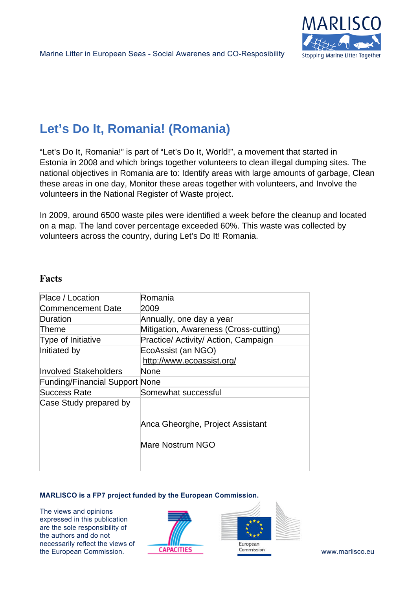

# **Let's Do It, Romania! (Romania)**

"Let's Do It, Romania!" is part of "Let's Do It, World!", a movement that started in Estonia in 2008 and which brings together volunteers to clean illegal dumping sites. The national objectives in Romania are to: Identify areas with large amounts of garbage, Clean these areas in one day, Monitor these areas together with volunteers, and Involve the volunteers in the National Register of Waste project.

In 2009, around 6500 waste piles were identified a week before the cleanup and located on a map. The land cover percentage exceeded 60%. This waste was collected by volunteers across the country, during Let's Do It! Romania.

## **Facts**

| Place / Location                      | Romania                               |
|---------------------------------------|---------------------------------------|
| Commencement Date                     | 2009                                  |
| Duration                              | Annually, one day a year              |
| Theme                                 | Mitigation, Awareness (Cross-cutting) |
| Type of Initiative                    | Practice/ Activity/ Action, Campaign  |
| Initiated by                          | EcoAssist (an NGO)                    |
|                                       | http://www.ecoassist.org/             |
| Involved Stakeholders                 | None                                  |
| <b>Funding/Financial Support None</b> |                                       |
| Success Rate                          | Somewhat successful                   |
| Case Study prepared by                |                                       |
|                                       |                                       |
|                                       | Anca Gheorghe, Project Assistant      |
|                                       |                                       |
|                                       | Mare Nostrum NGO                      |
|                                       |                                       |
|                                       |                                       |

#### **MARLISCO is a FP7 project funded by the European Commission.**

The views and opinions expressed in this publication are the sole responsibility of the authors and do not necessarily reflect the views of the European Commission. **CAPACITIES COMMISSION COMMISSION WWW.marlisco.eu**